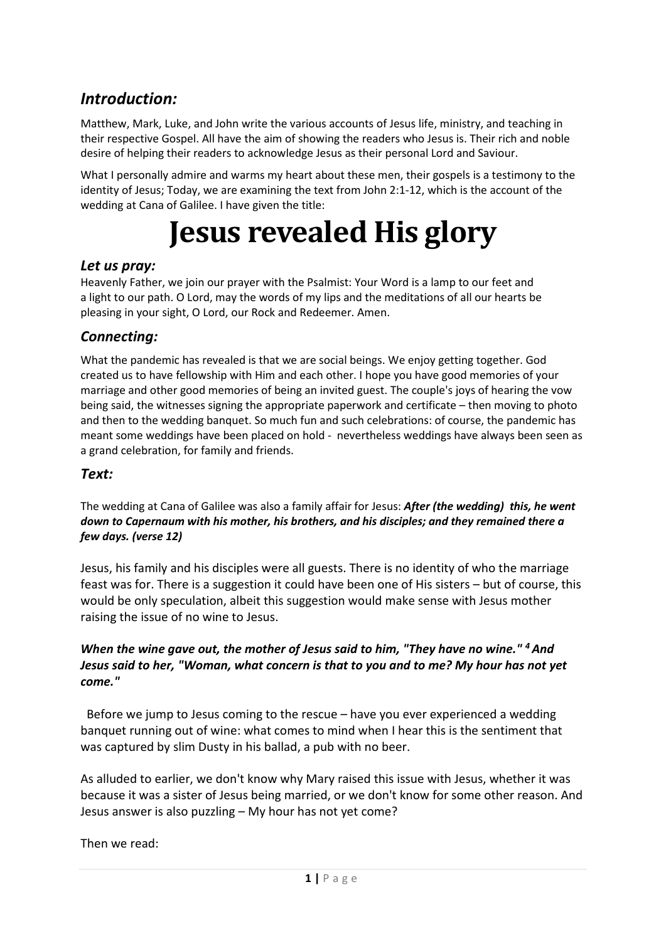# *Introduction:*

Matthew, Mark, Luke, and John write the various accounts of Jesus life, ministry, and teaching in their respective Gospel. All have the aim of showing the readers who Jesus is. Their rich and noble desire of helping their readers to acknowledge Jesus as their personal Lord and Saviour.

What I personally admire and warms my heart about these men, their gospels is a testimony to the identity of Jesus; Today, we are examining the text from John 2:1-12, which is the account of the wedding at Cana of Galilee. I have given the title:

# **Jesus revealed His glory**

## *Let us pray:*

Heavenly Father, we join our prayer with the Psalmist: Your Word is a lamp to our feet and a light to our path. O Lord, may the words of my lips and the meditations of all our hearts be pleasing in your sight, O Lord, our Rock and Redeemer. Amen.

# *Connecting:*

What the pandemic has revealed is that we are social beings. We enjoy getting together. God created us to have fellowship with Him and each other. I hope you have good memories of your marriage and other good memories of being an invited guest. The couple's joys of hearing the vow being said, the witnesses signing the appropriate paperwork and certificate – then moving to photo and then to the wedding banquet. So much fun and such celebrations: of course, the pandemic has meant some weddings have been placed on hold - nevertheless weddings have always been seen as a grand celebration, for family and friends.

### *Text:*

The wedding at Cana of Galilee was also a family affair for Jesus: *After (the wedding) this, he went down to Capernaum with his mother, his brothers, and his disciples; and they remained there a few days. (verse 12)*

Jesus, his family and his disciples were all guests. There is no identity of who the marriage feast was for. There is a suggestion it could have been one of His sisters – but of course, this would be only speculation, albeit this suggestion would make sense with Jesus mother raising the issue of no wine to Jesus.

#### *When the wine gave out, the mother of Jesus said to him, "They have no wine." 4And Jesus said to her, "Woman, what concern is that to you and to me? My hour has not yet come."*

 Before we jump to Jesus coming to the rescue – have you ever experienced a wedding banquet running out of wine: what comes to mind when I hear this is the sentiment that was captured by slim Dusty in his ballad, a pub with no beer.

As alluded to earlier, we don't know why Mary raised this issue with Jesus, whether it was because it was a sister of Jesus being married, or we don't know for some other reason. And Jesus answer is also puzzling – My hour has not yet come?

Then we read: